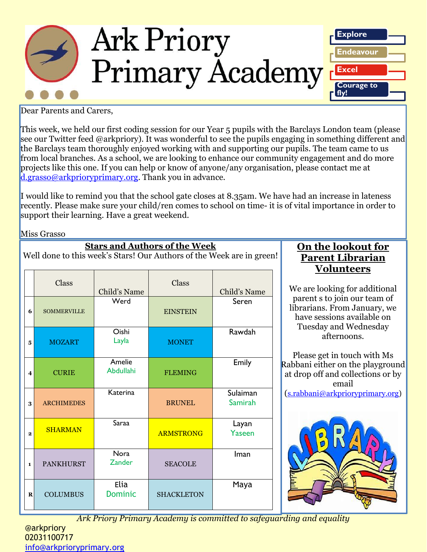

Dear Parents and Carers,

This week, we held our first coding session for our Year 5 pupils with the Barclays London team (please see our Twitter feed @arkpriory). It was wonderful to see the pupils engaging in something different and the Barclays team thoroughly enjoyed working with and supporting our pupils. The team came to us from local branches. As a school, we are looking to enhance our community engagement and do more projects like this one. If you can help or know of anyone/any organisation, please contact me at [d.grasso@arkprioryprimary.org.](mailto:d.grasso@arkprioryprimary.org) Thank you in advance.

I would like to remind you that the school gate closes at 8.35am. We have had an increase in lateness recently. Please make sure your child/ren comes to school on time- it is of vital importance in order to support their learning. Have a great weekend.

Miss Grasso

| <b>Stars and Authors of the Week</b><br>Well done to this week's Stars! Our Authors of the Week are in green! |                    |                              |                   |                            |                   |  |  |
|---------------------------------------------------------------------------------------------------------------|--------------------|------------------------------|-------------------|----------------------------|-------------------|--|--|
|                                                                                                               | Class              | Child's Name                 | Class             | Child's Name               |                   |  |  |
| 6                                                                                                             | <b>SOMMERVILLE</b> | Werd                         | <b>EINSTEIN</b>   | Seren                      |                   |  |  |
| 5                                                                                                             | <b>MOZART</b>      | Oishi<br>Layla               | <b>MONET</b>      | Rawdah                     |                   |  |  |
| $\boldsymbol{A}$                                                                                              | <b>CURIE</b>       | Amelie<br><b>Abdullahi</b>   | <b>FLEMING</b>    | Emily                      | $\mathsf{R}$<br>έ |  |  |
| 3                                                                                                             | <b>ARCHIMEDES</b>  | <b>Katerina</b>              | <b>BRUNEL</b>     | Sulaiman<br><b>Samirah</b> |                   |  |  |
| $\mathbf{2}$                                                                                                  | <b>SHARMAN</b>     | Saraa                        | <b>ARMSTRONG</b>  | Layan<br><b>Yaseen</b>     |                   |  |  |
| 1                                                                                                             | <b>PANKHURST</b>   | <b>Nora</b><br><b>Zander</b> | <b>SEACOLE</b>    | Iman                       |                   |  |  |
| R                                                                                                             | <b>COLUMBUS</b>    | Elia<br><b>Dominic</b>       | <b>SHACKLETON</b> | Maya                       |                   |  |  |

**On the lookout for Parent Librarian Volunteers**

We are looking for additional parent s to join our team of librarians. From January, we have sessions available on Tuesday and Wednesday afternoons.

Please get in touch with Ms abbani either on the playground at drop off and collections or by email ([s.rabbani@arkprioryprimary.org\)](mailto:s.rabbani@arkprioryprimary.org)



*Ark Priory Primary Academy is committed to safeguarding and equality*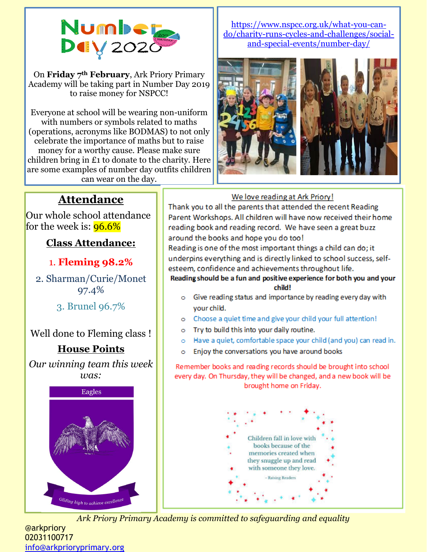

On **Friday 7th February**, Ark Priory Primary Academy will be taking part in Number Day 2019 to raise money for NSPCC!

Everyone at school will be wearing non-uniform with numbers or symbols related to maths (operations, acronyms like BODMAS) to not only celebrate the importance of maths but to raise money for a worthy cause. Please make sure children bring in £1 to donate to the charity. Here are some examples of number day outfits children can wear on the day.

#### [https://www.nspcc.org.uk/what-you-can](https://www.nspcc.org.uk/what-you-can-do/charity-runs-cycles-and-challenges/social-and-special-events/number-day/)[do/charity-runs-cycles-and-challenges/social](https://www.nspcc.org.uk/what-you-can-do/charity-runs-cycles-and-challenges/social-and-special-events/number-day/)[and-special-events/number-day/](https://www.nspcc.org.uk/what-you-can-do/charity-runs-cycles-and-challenges/social-and-special-events/number-day/)



#### We love reading at Ark Priory!

Thank you to all the parents that attended the recent Reading Parent Workshops. All children will have now received their home reading book and reading record. We have seen a great buzz around the books and hope you do too!

Reading is one of the most important things a child can do; it underpins everything and is directly linked to school success, selfesteem, confidence and achievements throughout life. Reading should be a fun and positive experience for both you and your

### child!

- o Give reading status and importance by reading every day with your child.
- o Choose a quiet time and give your child your full attention!
- Try to build this into your daily routine.  $\circ$
- Have a quiet, comfortable space your child (and you) can read in.  $\circ$
- Enjoy the conversations you have around books ö

Remember books and reading records should be brought into school every day. On Thursday, they will be changed, and a new book will be brought home on Friday.



*Ark Priory Primary Academy is committed to safeguarding and equality* 

## **Attendance**

Our whole school attendance for the week is:  $96.6%$ 

### **Class Attendance:**

### 1. **Fleming 98.2%**

2. Sharman/Curie/Monet 97.4%

3. Brunel 96.7%

Well done to Fleming class !

### **House Points**

*Our winning team this week was:*



@arkpriory 02031100717 [info@arkprioryprimary.org](mailto:info@arkprioryprimary.org)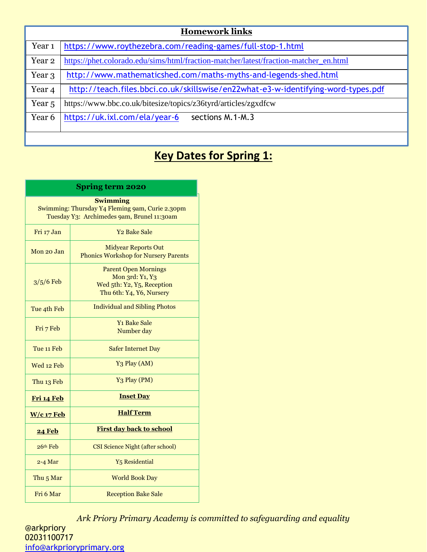| <b>Homework links</b> |                                                                                      |  |  |  |
|-----------------------|--------------------------------------------------------------------------------------|--|--|--|
| Year <sub>1</sub>     | https://www.roythezebra.com/reading-games/full-stop-1.html                           |  |  |  |
| Year 2                | https://phet.colorado.edu/sims/html/fraction-matcher/latest/fraction-matcher_en.html |  |  |  |
| Year 3                | http://www.mathematicshed.com/maths-myths-and-legends-shed.html                      |  |  |  |
| Year 4                | http://teach.files.bbci.co.uk/skillswise/en22what-e3-w-identifying-word-types.pdf    |  |  |  |
| Year <sub>5</sub>     | https://www.bbc.co.uk/bitesize/topics/z36tyrd/articles/zgxdfcw                       |  |  |  |
| Year 6                | https://uk.ixl.com/ela/year-6<br>sections M.1-M.3                                    |  |  |  |
|                       |                                                                                      |  |  |  |

# **Key Dates for Spring 1:**

| <b>Spring term 2020</b>                                                                                          |                                                                                                          |  |  |  |  |
|------------------------------------------------------------------------------------------------------------------|----------------------------------------------------------------------------------------------------------|--|--|--|--|
| <b>Swimming</b><br>Swimming: Thursday Y4 Fleming 9am, Curie 2.30pm<br>Tuesday Y3: Archimedes 9am, Brunel 11:30am |                                                                                                          |  |  |  |  |
| Fri 17 Jan                                                                                                       | <b>Y<sub>2</sub></b> Bake Sale                                                                           |  |  |  |  |
| Mon 20 Jan                                                                                                       | <b>Midyear Reports Out</b><br><b>Phonics Workshop for Nursery Parents</b>                                |  |  |  |  |
| $3/5/6$ Feb                                                                                                      | <b>Parent Open Mornings</b><br>Mon 3rd: Y1, Y3<br>Wed 5th: Y2, Y5, Reception<br>Thu 6th: Y4, Y6, Nursery |  |  |  |  |
| Tue 4th Feb                                                                                                      | <b>Individual and Sibling Photos</b>                                                                     |  |  |  |  |
| Fri 7 Feb                                                                                                        | <b>Y1 Bake Sale</b><br>Number day                                                                        |  |  |  |  |
| Tue 11 Feb                                                                                                       | <b>Safer Internet Day</b>                                                                                |  |  |  |  |
| Wed 12 Feb                                                                                                       | Y <sub>3</sub> Play (AM)                                                                                 |  |  |  |  |
| Thu 13 Feb                                                                                                       | Y <sub>3</sub> Play (PM)                                                                                 |  |  |  |  |
| Fri 14 Feb                                                                                                       | <b>Inset Day</b>                                                                                         |  |  |  |  |
| $W/c$ 17 Feb                                                                                                     | <b>Half Term</b>                                                                                         |  |  |  |  |
| <b>24 Feb</b>                                                                                                    | <b>First day back to school</b>                                                                          |  |  |  |  |
| $26th$ Feb                                                                                                       | <b>CSI Science Night (after school)</b>                                                                  |  |  |  |  |
| $2 - 4$ Mar                                                                                                      | Y <sub>5</sub> Residential                                                                               |  |  |  |  |
| Thu <sub>5</sub> Mar                                                                                             | <b>World Book Day</b>                                                                                    |  |  |  |  |
| Fri 6 Mar                                                                                                        | <b>Reception Bake Sale</b>                                                                               |  |  |  |  |

*Ark Priory Primary Academy is committed to safeguarding and equality*  @arkpriory 02031100717 [info@arkprioryprimary.org](mailto:info@arkprioryprimary.org)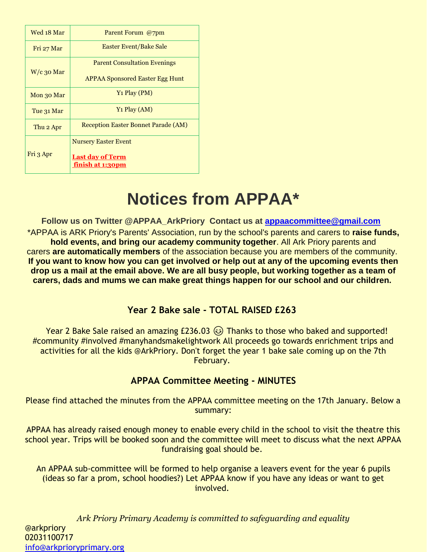| Wed 18 Mar   | Parent Forum @7pm                           |  |
|--------------|---------------------------------------------|--|
| Fri 27 Mar   | Easter Event/Bake Sale                      |  |
|              | <b>Parent Consultation Evenings</b>         |  |
| $W/c$ 30 Mar | <b>APPAA Sponsored Easter Egg Hunt</b>      |  |
| Mon 30 Mar   | Y <sub>1</sub> Play (PM)                    |  |
| Tue 31 Mar   | $Y_1$ Play (AM)                             |  |
| Thu 2 Apr    | <b>Reception Easter Bonnet Parade (AM)</b>  |  |
|              | <b>Nursery Easter Event</b>                 |  |
| Fri 3 Apr    | <b>Last day of Term</b><br>finish at 1:30pm |  |

# **Notices from APPAA\***

**Follow us on Twitter @APPAA\_ArkPriory Contact us at [appaacommittee@gmail.com](mailto:appaacommittee@gmail.com)** \*APPAA is ARK Priory's Parents' Association, run by the school's parents and carers to **raise funds, hold events, and bring our academy community together**. All Ark Priory parents and carers **are automatically members** of the association because you are members of the community. **If you want to know how you can get involved or help out at any of the upcoming events then drop us a mail at the email above. We are all busy people, but working together as a team of carers, dads and mums we can make great things happen for our school and our children.**

### **Year 2 Bake sale - TOTAL RAISED £263**

Year 2 Bake Sale raised an amazing  $£236.03$   $\circledcirc$  Thanks to those who baked and supported! #community #involved #manyhandsmakelightwork All proceeds go towards enrichment trips and activities for all the kids @ArkPriory. Don't forget the year 1 bake sale coming up on the 7th February.

### **APPAA Committee Meeting - MINUTES**

Please find attached the minutes from the APPAA committee meeting on the 17th January. Below a summary:

APPAA has already raised enough money to enable every child in the school to visit the theatre this school year. Trips will be booked soon and the committee will meet to discuss what the next APPAA fundraising goal should be.

An APPAA sub-committee will be formed to help organise a leavers event for the year 6 pupils (ideas so far a prom, school hoodies?) Let APPAA know if you have any ideas or want to get involved.

*Ark Priory Primary Academy is committed to safeguarding and equality*  @arkpriory 02031100717 [info@arkprioryprimary.org](mailto:info@arkprioryprimary.org)